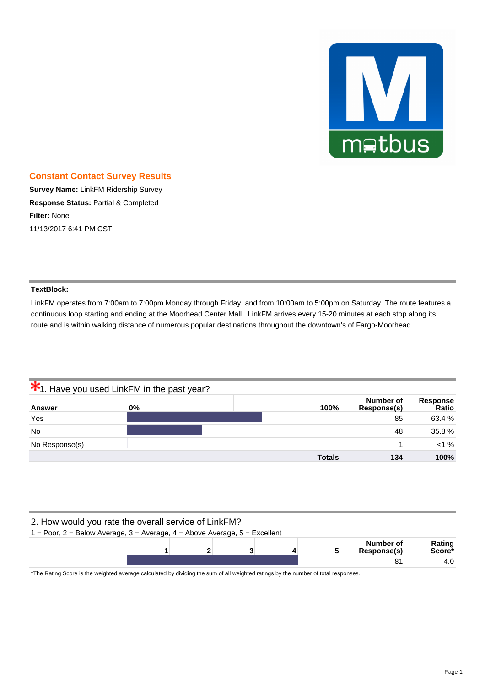

### **Constant Contact Survey Results**

**Survey Name:** LinkFM Ridership Survey **Response Status:** Partial & Completed **Filter:** None 11/13/2017 6:41 PM CST

#### **TextBlock:**

LinkFM operates from 7:00am to 7:00pm Monday through Friday, and from 10:00am to 5:00pm on Saturday. The route features a continuous loop starting and ending at the Moorhead Center Mall. LinkFM arrives every 15-20 minutes at each stop along its route and is within walking distance of numerous popular destinations throughout the downtown's of Fargo-Moorhead.

|                | <b>*1.</b> Have you used LinkFM in the past year? |               |                          |                   |
|----------------|---------------------------------------------------|---------------|--------------------------|-------------------|
| <b>Answer</b>  | $0\%$                                             | 100%          | Number of<br>Response(s) | Response<br>Ratio |
| Yes            |                                                   |               | 85                       | 63.4 %            |
| <b>No</b>      |                                                   |               | 48                       | 35.8%             |
| No Response(s) |                                                   |               |                          | $< 1 \%$          |
|                |                                                   | <b>Totals</b> | 134                      | 100%              |

| 2. How would you rate the overall service of LinkFM?<br>$1 =$ Poor, 2 = Below Average, 3 = Average, 4 = Above Average, 5 = Excellent |  |  |  |  |  |    |                  |
|--------------------------------------------------------------------------------------------------------------------------------------|--|--|--|--|--|----|------------------|
| Number of<br>Response(s)                                                                                                             |  |  |  |  |  |    | Rating<br>Score* |
|                                                                                                                                      |  |  |  |  |  | 81 | 4.0              |

\*The Rating Score is the weighted average calculated by dividing the sum of all weighted ratings by the number of total responses.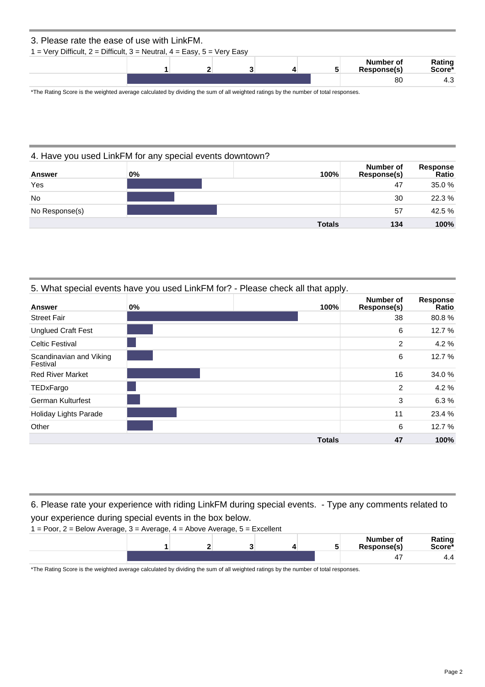| 3. Please rate the ease of use with LinkFM.                               |  |  |   |                          |                              |
|---------------------------------------------------------------------------|--|--|---|--------------------------|------------------------------|
| $1 =$ Very Difficult, 2 = Difficult, 3 = Neutral, 4 = Easy, 5 = Very Easy |  |  |   |                          |                              |
|                                                                           |  |  | 5 | Number of<br>Response(s) | Rating<br>Score <sup>*</sup> |
|                                                                           |  |  |   | 80                       | 4.3                          |

\*The Rating Score is the weighted average calculated by dividing the sum of all weighted ratings by the number of total responses.

|                | 4. Have you used LinkFM for any special events downtown? |               |                          |                          |
|----------------|----------------------------------------------------------|---------------|--------------------------|--------------------------|
| <b>Answer</b>  | 0%                                                       | 100%          | Number of<br>Response(s) | Response<br><b>Ratio</b> |
| Yes            |                                                          |               | 47                       | 35.0%                    |
| <b>No</b>      |                                                          |               | 30                       | 22.3 %                   |
| No Response(s) |                                                          |               | 57                       | 42.5 %                   |
|                |                                                          | <b>Totals</b> | 134                      | 100%                     |

### 5. What special events have you used LinkFM for? - Please check all that apply.

| <b>Answer</b>                       | $0\%$ | 100%          | Number of<br>Response(s) | Response<br>Ratio |
|-------------------------------------|-------|---------------|--------------------------|-------------------|
| <b>Street Fair</b>                  |       |               | 38                       | 80.8%             |
| <b>Unglued Craft Fest</b>           |       |               | 6                        | 12.7 %            |
| <b>Celtic Festival</b>              |       |               | $\overline{2}$           | 4.2%              |
| Scandinavian and Viking<br>Festival |       |               | 6                        | 12.7 %            |
| <b>Red River Market</b>             |       |               | 16                       | 34.0 %            |
| TEDxFargo                           |       |               | $\overline{2}$           | 4.2%              |
| <b>German Kulturfest</b>            |       |               | 3                        | 6.3%              |
| <b>Holiday Lights Parade</b>        |       |               | 11                       | 23.4 %            |
| Other                               |       |               | 6                        | 12.7%             |
|                                     |       | <b>Totals</b> | 47                       | 100%              |

6. Please rate your experience with riding LinkFM during special events. - Type any comments related to your experience during special events in the box below.



\*The Rating Score is the weighted average calculated by dividing the sum of all weighted ratings by the number of total responses.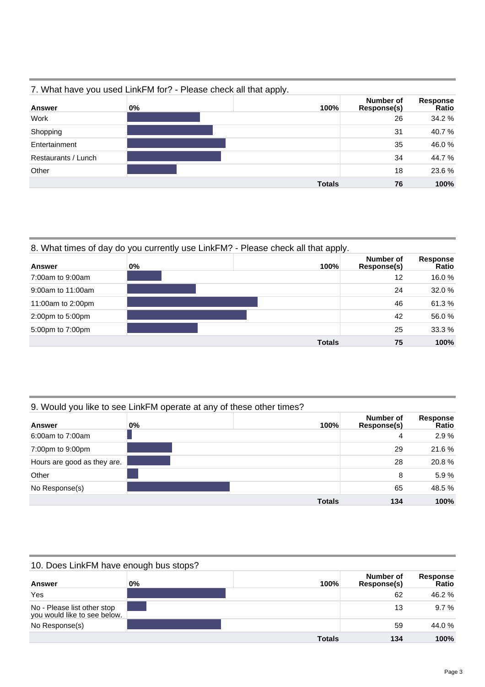|                     | 7. What have you used LinkFM for? - Please check all that apply. |               |                          |                          |
|---------------------|------------------------------------------------------------------|---------------|--------------------------|--------------------------|
| <b>Answer</b>       | 0%                                                               | 100%          | Number of<br>Response(s) | <b>Response</b><br>Ratio |
| Work                |                                                                  |               | 26                       | 34.2 %                   |
| Shopping            |                                                                  |               | 31                       | 40.7%                    |
| Entertainment       |                                                                  |               | 35                       | 46.0%                    |
| Restaurants / Lunch |                                                                  |               | 34                       | 44.7%                    |
| Other               |                                                                  |               | 18                       | 23.6 %                   |
|                     |                                                                  | <b>Totals</b> | 76                       | 100%                     |

### 7. What have you used LinkFM for? - Please check all that apply.

# 8. What times of day do you currently use LinkFM? - Please check all that apply.

| <b>Answer</b>     | 0% | 100%          | Number of<br>Response(s) | <b>Response</b><br>Ratio |
|-------------------|----|---------------|--------------------------|--------------------------|
| 7:00am to 9:00am  |    |               | 12                       | 16.0%                    |
| 9:00am to 11:00am |    |               | 24                       | 32.0 %                   |
| 11:00am to 2:00pm |    |               | 46                       | 61.3%                    |
| 2:00pm to 5:00pm  |    |               | 42                       | 56.0%                    |
| 5:00pm to 7:00pm  |    |               | 25                       | 33.3 %                   |
|                   |    | <b>Totals</b> | 75                       | 100%                     |

# 9. Would you like to see LinkFM operate at any of these other times?

| Answer                      | 0% | 100%          | Number of<br>Response(s) | <b>Response</b><br>Ratio |
|-----------------------------|----|---------------|--------------------------|--------------------------|
| 6:00am to 7:00am            |    |               | 4                        | 2.9%                     |
| 7:00pm to 9:00pm            |    |               | 29                       | 21.6%                    |
| Hours are good as they are. |    |               | 28                       | 20.8%                    |
| Other                       |    |               | 8                        | 5.9%                     |
| No Response(s)              |    |               | 65                       | 48.5 %                   |
|                             |    | <b>Totals</b> | 134                      | 100%                     |

# 10. Does LinkFM have enough bus stops?

| <b>Answer</b>                                               | $0\%$ | 100%          | Number of<br>Response(s) | <b>Response</b><br>Ratio |
|-------------------------------------------------------------|-------|---------------|--------------------------|--------------------------|
| Yes                                                         |       |               | 62                       | 46.2%                    |
| No - Please list other stop<br>you would like to see below. |       |               | 13                       | $9.7\%$                  |
| No Response(s)                                              |       |               | 59                       | 44.0 %                   |
|                                                             |       | <b>Totals</b> | 134                      | 100%                     |